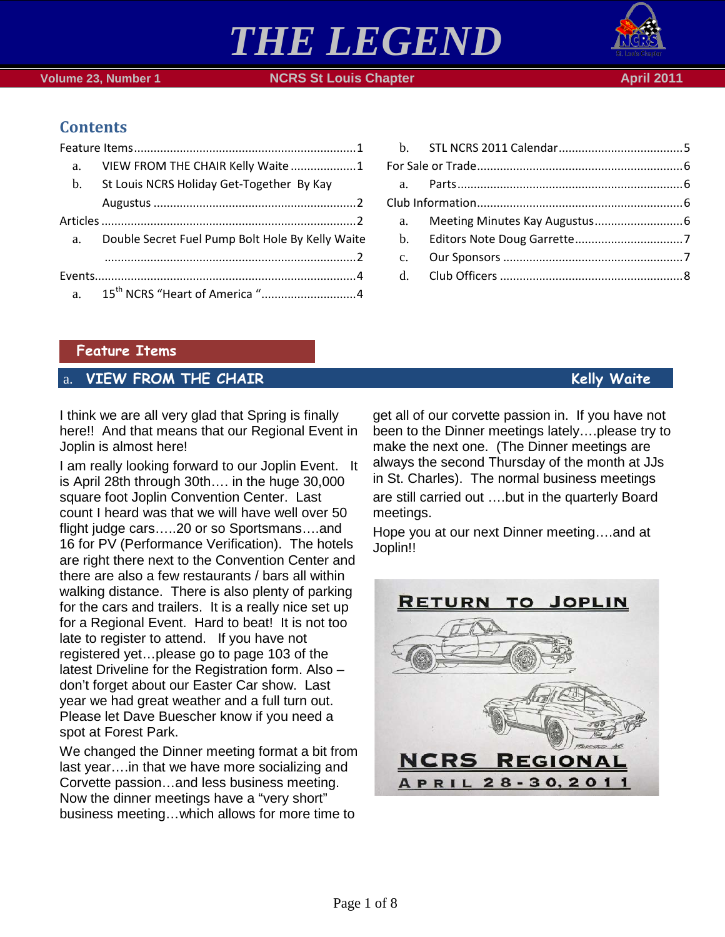



# **Contents**

| a. | VIEW FROM THE CHAIR Kelly Waite 1                   |  |
|----|-----------------------------------------------------|--|
|    | b. St Louis NCRS Holiday Get-Together By Kay        |  |
|    |                                                     |  |
|    |                                                     |  |
|    | a. Double Secret Fuel Pump Bolt Hole By Kelly Waite |  |
|    |                                                     |  |
|    |                                                     |  |
|    |                                                     |  |

| c. |  |
|----|--|
|    |  |
|    |  |

### <span id="page-0-0"></span>**Feature Items**

## <span id="page-0-1"></span>a. **VIEW FROM THE CHAIR Kelly Waite**

I think we are all very glad that Spring is finally here!! And that means that our Regional Event in Joplin is almost here!

I am really looking forward to our Joplin Event. It is April 28th through 30th…. in the huge 30,000 square foot Joplin Convention Center. Last count I heard was that we will have well over 50 flight judge cars…..20 or so Sportsmans….and 16 for PV (Performance Verification). The hotels are right there next to the Convention Center and there are also a few restaurants / bars all within walking distance. There is also plenty of parking for the cars and trailers. It is a really nice set up for a Regional Event. Hard to beat! It is not too late to register to attend. If you have not registered yet…please go to page 103 of the latest Driveline for the Registration form. Also – don't forget about our Easter Car show. Last year we had great weather and a full turn out. Please let Dave Buescher know if you need a spot at Forest Park.

We changed the Dinner meeting format a bit from last year….in that we have more socializing and Corvette passion…and less business meeting. Now the dinner meetings have a "very short" business meeting…which allows for more time to

get all of our corvette passion in. If you have not been to the Dinner meetings lately….please try to make the next one. (The Dinner meetings are always the second Thursday of the month at JJs in St. Charles). The normal business meetings are still carried out ….but in the quarterly Board meetings.

Hope you at our next Dinner meeting….and at Joplin!!

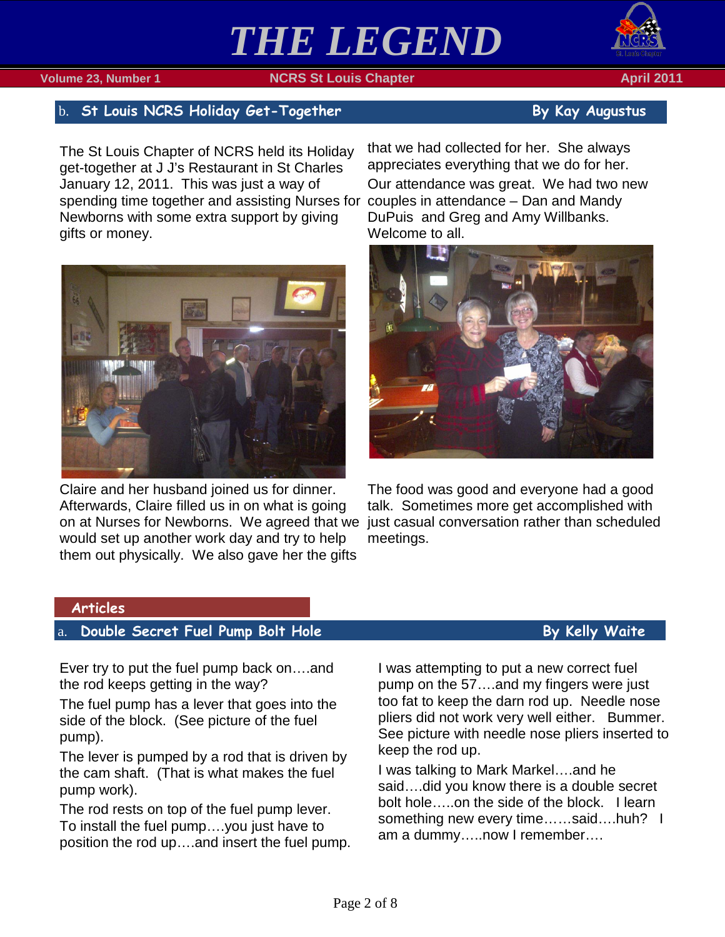

## <span id="page-1-0"></span>b. St Louis NCRS Holiday Get-Together **By Kay Augustus** By Kay Augustus

The St Louis Chapter of NCRS held its Holiday get-together at J J's Restaurant in St Charles January 12, 2011. This was just a way of spending time together and assisting Nurses for couples in attendance – Dan and Mandy Newborns with some extra support by giving gifts or money.



Claire and her husband joined us for dinner. Afterwards, Claire filled us in on what is going on at Nurses for Newborns. We agreed that we would set up another work day and try to help them out physically. We also gave her the gifts

that we had collected for her. She always appreciates everything that we do for her. Our attendance was great. We had two new DuPuis and Greg and Amy Willbanks. Welcome to all.



The food was good and everyone had a good talk. Sometimes more get accomplished with just casual conversation rather than scheduled meetings.

### <span id="page-1-1"></span>**Articles**

# <span id="page-1-2"></span>a. **Double Secret Fuel Pump Bolt Hole By Kelly Waite**

Ever try to put the fuel pump back on….and the rod keeps getting in the way?

The fuel pump has a lever that goes into the side of the block. (See picture of the fuel pump).

The lever is pumped by a rod that is driven by the cam shaft. (That is what makes the fuel pump work).

The rod rests on top of the fuel pump lever. To install the fuel pump….you just have to position the rod up….and insert the fuel pump.

I was attempting to put a new correct fuel pump on the 57….and my fingers were just too fat to keep the darn rod up. Needle nose pliers did not work very well either. Bummer. See picture with needle nose pliers inserted to keep the rod up.

I was talking to Mark Markel….and he said….did you know there is a double secret bolt hole…..on the side of the block. I learn something new every time......said....huh? I am a dummy…..now I remember….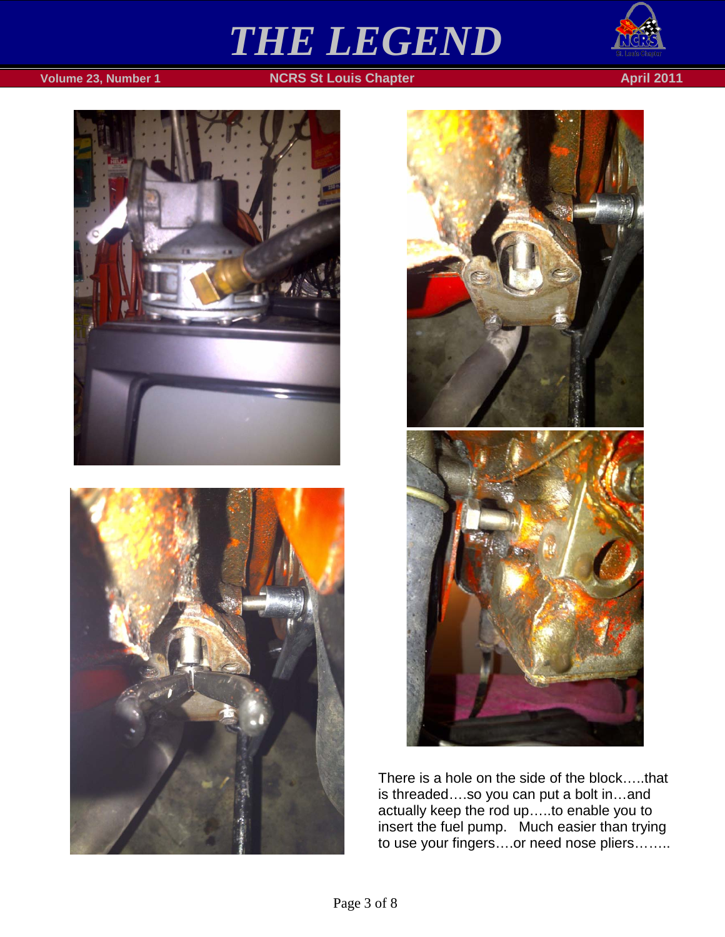







There is a hole on the side of the block…..that is threaded….so you can put a bolt in…and actually keep the rod up…..to enable you to insert the fuel pump. Much easier than trying to use your fingers….or need nose pliers……..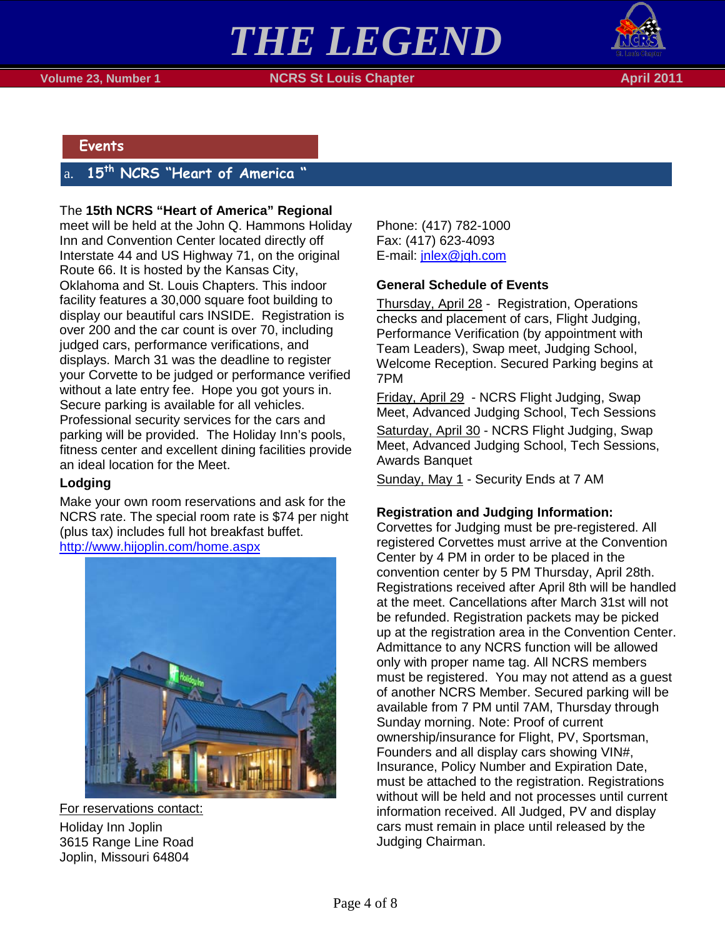



#### <span id="page-3-0"></span>**Events**

## <span id="page-3-1"></span>15<sup>th</sup> NCRS "Heart of America

#### The **15th NCRS "Heart of America" Regional**

meet will be held at the John Q. Hammons Holiday Inn and Convention Center located directly off Interstate 44 and US Highway 71, on the original Route 66. It is hosted by the Kansas City, Oklahoma and St. Louis Chapters. This indoor facility features a 30,000 square foot building to display our beautiful cars INSIDE. Registration is over 200 and the car count is over 70, including judged cars, performance verifications, and displays. March 31 was the deadline to register your Corvette to be judged or performance verified without a late entry fee. Hope you got yours in. Secure parking is available for all vehicles. Professional security services for the cars and parking will be provided. The Holiday Inn's pools, fitness center and excellent dining facilities provide an ideal location for the Meet.

#### **Lodging**

Make your own room reservations and ask for the NCRS rate. The special room rate is \$74 per night (plus tax) includes full hot breakfast buffet. <http://www.hijoplin.com/home.aspx>



Holiday Inn Joplin For reservations contact: 3615 Range Line Road Joplin, Missouri 64804

Phone: (417) 782-1000 Fax: (417) 623-4093 E-mail: [jnlex@jqh.com](mailto:jnlex@jqh.com)

### **General Schedule of Events**

Thursday, April 28 - Registration, Operations checks and placement of cars, Flight Judging, Performance Verification (by appointment with Team Leaders), Swap meet, Judging School, Welcome Reception. Secured Parking begins at 7PM

Friday, April 29 - NCRS Flight Judging, Swap Meet, Advanced Judging School, Tech Sessions Saturday, April 30 - NCRS Flight Judging, Swap Meet, Advanced Judging School, Tech Sessions, Awards Banquet

Sunday, May 1 - Security Ends at 7 AM

#### **Registration and Judging Information:**

Corvettes for Judging must be pre-registered. All registered Corvettes must arrive at the Convention Center by 4 PM in order to be placed in the convention center by 5 PM Thursday, April 28th. Registrations received after April 8th will be handled at the meet. Cancellations after March 31st will not be refunded. Registration packets may be picked up at the registration area in the Convention Center. Admittance to any NCRS function will be allowed only with proper name tag. All NCRS members must be registered. You may not attend as a guest of another NCRS Member. Secured parking will be available from 7 PM until 7AM, Thursday through Sunday morning. Note: Proof of current ownership/insurance for Flight, PV, Sportsman, Founders and all display cars showing VIN#, Insurance, Policy Number and Expiration Date, must be attached to the registration. Registrations without will be held and not processes until current information received. All Judged, PV and display cars must remain in place until released by the Judging Chairman.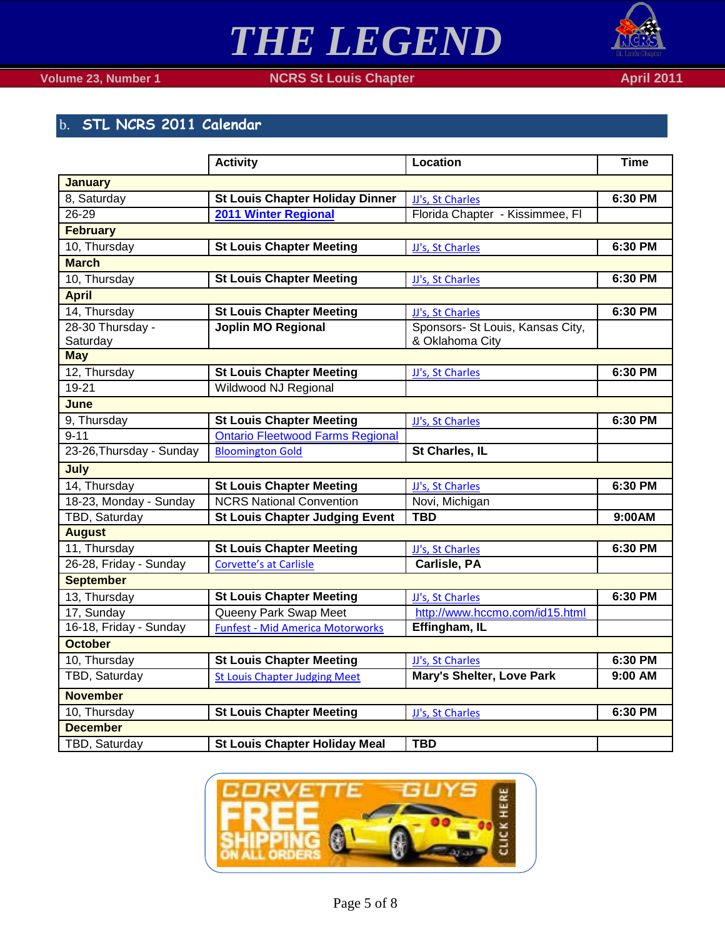

## **Volume 23, Number 1 NCRS St Louis Chapter April 2011 April 2011**

# <span id="page-4-0"></span>b. **STL NCRS 2011 Calendar**

|                          | <b>Activity</b>                         | <b>Location</b>                  | <b>Time</b> |  |  |  |  |
|--------------------------|-----------------------------------------|----------------------------------|-------------|--|--|--|--|
| <b>January</b>           |                                         |                                  |             |  |  |  |  |
| 8, Saturday              | <b>St Louis Chapter Holiday Dinner</b>  | JJ's, St Charles                 | 6:30 PM     |  |  |  |  |
| 26-29                    | 2011 Winter Regional                    | Florida Chapter - Kissimmee, Fl  |             |  |  |  |  |
| <b>February</b>          |                                         |                                  |             |  |  |  |  |
| 10, Thursday             | <b>St Louis Chapter Meeting</b>         | JJ's, St Charles                 | 6:30 PM     |  |  |  |  |
| <b>March</b>             |                                         |                                  |             |  |  |  |  |
| 10, Thursday             | <b>St Louis Chapter Meeting</b>         | JJ's, St Charles                 | 6:30 PM     |  |  |  |  |
| <b>April</b>             |                                         |                                  |             |  |  |  |  |
| 14, Thursday             | <b>St Louis Chapter Meeting</b>         | JJ's, St Charles                 | 6:30 PM     |  |  |  |  |
| 28-30 Thursday -         | <b>Joplin MO Regional</b>               | Sponsors- St Louis, Kansas City, |             |  |  |  |  |
| Saturday                 |                                         | & Oklahoma City                  |             |  |  |  |  |
| <b>May</b>               |                                         |                                  |             |  |  |  |  |
| 12, Thursday             | <b>St Louis Chapter Meeting</b>         | JJ's, St Charles                 | 6:30 PM     |  |  |  |  |
| 19-21                    | Wildwood NJ Regional                    |                                  |             |  |  |  |  |
| June                     |                                         |                                  |             |  |  |  |  |
| 9, Thursday              | <b>St Louis Chapter Meeting</b>         | JJ's, St Charles                 | 6:30 PM     |  |  |  |  |
| $9 - 11$                 | <b>Ontario Fleetwood Farms Regional</b> |                                  |             |  |  |  |  |
| 23-26, Thursday - Sunday | <b>Bloomington Gold</b>                 | St Charles, IL                   |             |  |  |  |  |
| July                     |                                         |                                  |             |  |  |  |  |
| 14, Thursday             | <b>St Louis Chapter Meeting</b>         | JJ's, St Charles                 | 6:30 PM     |  |  |  |  |
| 18-23, Monday - Sunday   | <b>NCRS National Convention</b>         | Novi, Michigan                   |             |  |  |  |  |
| <b>TBD, Saturday</b>     | <b>St Louis Chapter Judging Event</b>   | <b>TBD</b>                       | 9:00AM      |  |  |  |  |
| <b>August</b>            |                                         |                                  |             |  |  |  |  |
| 11, Thursday             | <b>St Louis Chapter Meeting</b>         | JJ's, St Charles                 | 6:30 PM     |  |  |  |  |
| 26-28, Friday - Sunday   | <b>Corvette's at Carlisle</b>           | Carlisle, PA                     |             |  |  |  |  |
| <b>September</b>         |                                         |                                  |             |  |  |  |  |
| 13, Thursday             | <b>St Louis Chapter Meeting</b>         | JJ's. St Charles                 | 6:30 PM     |  |  |  |  |
| $\overline{17}$ , Sunday | Queeny Park Swap Meet                   | http://www.hccmo.com/id15.html   |             |  |  |  |  |
| 16-18, Friday - Sunday   | <b>Funfest - Mid America Motorworks</b> | Effingham, IL                    |             |  |  |  |  |
| <b>October</b>           |                                         |                                  |             |  |  |  |  |
| 10, Thursday             | <b>St Louis Chapter Meeting</b>         | JJ's, St Charles                 | 6:30 PM     |  |  |  |  |
| TBD, Saturday            | <b>St Louis Chapter Judging Meet</b>    | <b>Mary's Shelter, Love Park</b> | 9:00 AM     |  |  |  |  |
| <b>November</b>          |                                         |                                  |             |  |  |  |  |
| 10, Thursday             | <b>St Louis Chapter Meeting</b>         | JJ's, St Charles                 | 6:30 PM     |  |  |  |  |
| <b>December</b>          |                                         |                                  |             |  |  |  |  |
| TBD, Saturday            | <b>St Louis Chapter Holiday Meal</b>    | <b>TBD</b>                       |             |  |  |  |  |
|                          |                                         |                                  |             |  |  |  |  |

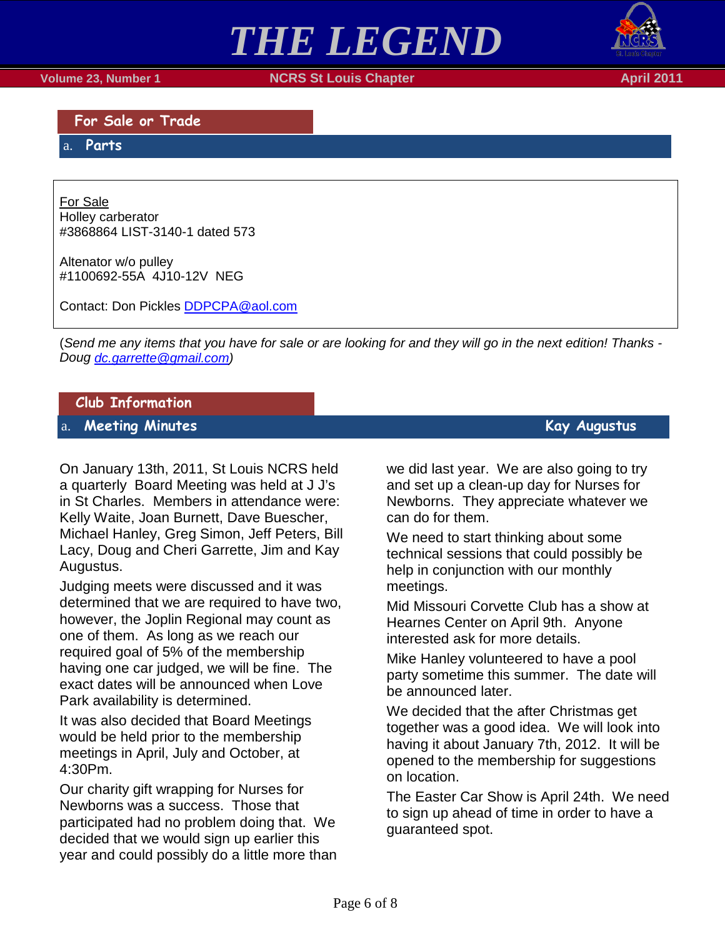**Volume 23, Number 1 NCRS St Louis Chapter April 2011**

<span id="page-5-0"></span>**For Sale or Trade**

<span id="page-5-1"></span>a. **Parts**

Holley carberator For Sale #3868864 LIST-3140-1 dated 573

Altenator w/o pulley #1100692-55A 4J10-12V NEG

Contact: Don Pickles [DDPCPA@aol.com](mailto:DDPCPA@aol.com)

(*Send me any items that you have for sale or are looking for and they will go in the next edition! Thanks - Doug [dc.garrette@gmail.com\)](mailto:dc.garrette@gmail.com)*

*THE LEGEND*

### <span id="page-5-2"></span>**Club Information**

<span id="page-5-3"></span>a. **Meeting Minutes Kay Augustus** 

On January 13th, 2011, St Louis NCRS held a quarterly Board Meeting was held at J J's in St Charles. Members in attendance were: Kelly Waite, Joan Burnett, Dave Buescher, Michael Hanley, Greg Simon, Jeff Peters, Bill Lacy, Doug and Cheri Garrette, Jim and Kay Augustus.

Judging meets were discussed and it was determined that we are required to have two, however, the Joplin Regional may count as one of them. As long as we reach our required goal of 5% of the membership having one car judged, we will be fine. The exact dates will be announced when Love Park availability is determined.

It was also decided that Board Meetings would be held prior to the membership meetings in April, July and October, at 4:30Pm.

Our charity gift wrapping for Nurses for Newborns was a success. Those that participated had no problem doing that. We decided that we would sign up earlier this year and could possibly do a little more than we did last year. We are also going to try and set up a clean-up day for Nurses for Newborns. They appreciate whatever we can do for them.

We need to start thinking about some technical sessions that could possibly be help in conjunction with our monthly meetings.

Mid Missouri Corvette Club has a show at Hearnes Center on April 9th. Anyone interested ask for more details.

Mike Hanley volunteered to have a pool party sometime this summer. The date will be announced later.

We decided that the after Christmas get together was a good idea. We will look into having it about January 7th, 2012. It will be opened to the membership for suggestions on location.

The Easter Car Show is April 24th. We need to sign up ahead of time in order to have a guaranteed spot.

# Page 6 of 8

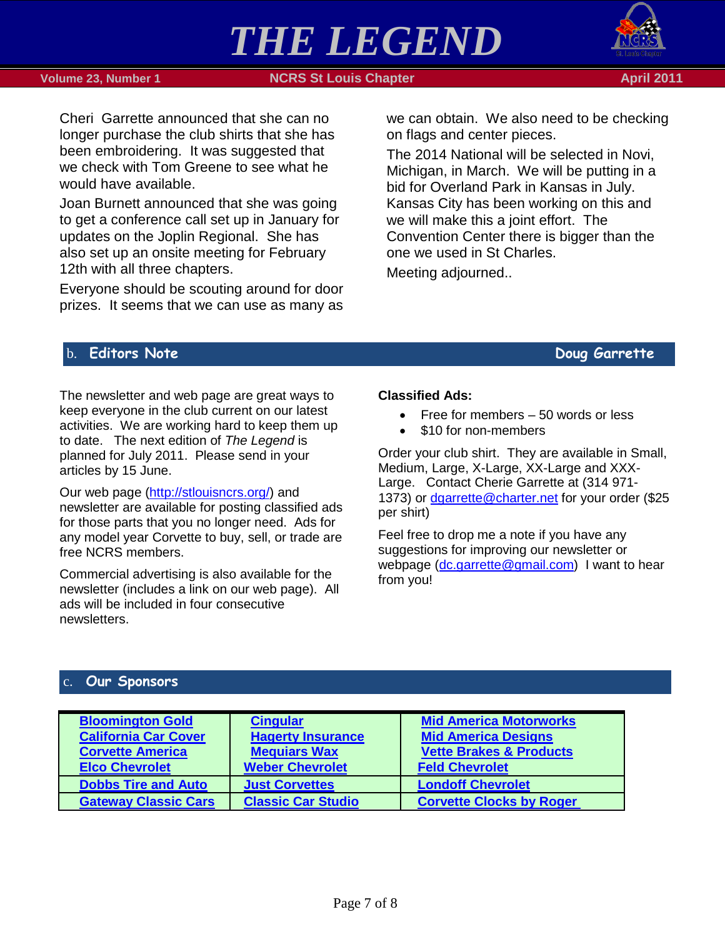





Cheri Garrette announced that she can no longer purchase the club shirts that she has been embroidering. It was suggested that we check with Tom Greene to see what he would have available.

Joan Burnett announced that she was going to get a conference call set up in January for updates on the Joplin Regional. She has also set up an onsite meeting for February 12th with all three chapters.

Everyone should be scouting around for door prizes. It seems that we can use as many as we can obtain. We also need to be checking on flags and center pieces.

The 2014 National will be selected in Novi, Michigan, in March. We will be putting in a bid for Overland Park in Kansas in July. Kansas City has been working on this and we will make this a joint effort. The Convention Center there is bigger than the one we used in St Charles.

Meeting adjourned..

## <span id="page-6-0"></span>b. Editors Note **Doug Garrette**

The newsletter and web page are great ways to keep everyone in the club current on our latest activities. We are working hard to keep them up to date. The next edition of *The Legend* is planned for July 2011. Please send in your articles by 15 June.

Our web page [\(http://stlouisncrs.org/\)](http://stlouisncrs.org/) and newsletter are available for posting classified ads for those parts that you no longer need. Ads for any model year Corvette to buy, sell, or trade are free NCRS members.

Commercial advertising is also available for the newsletter (includes a link on our web page). All ads will be included in four consecutive newsletters.

### **Classified Ads:**

- Free for members 50 words or less
- \$10 for non-members

Order your club shirt. They are available in Small, Medium, Large, X-Large, XX-Large and XXX-Large. Contact Cherie Garrette at (314 971 1373) or [dgarrette@charter.net](mailto:dgarrette@charter.net) for your order (\$25 per shirt)

Feel free to drop me a note if you have any suggestions for improving our newsletter or webpage [\(dc.garrette@gmail.com\)](mailto:dc.garrette@gmail.com) I want to hear from you!

## <span id="page-6-1"></span>**Our Sponsors**

| <b>Bloomington Gold</b><br><b>California Car Cover</b><br><b>Corvette America</b><br><b>Elco Chevrolet</b> | <b>Cingular</b><br><b>Hagerty Insurance</b><br><b>Mequiars Wax</b><br><b>Weber Chevrolet</b> | <b>Mid America Motorworks</b><br><b>Mid America Designs</b><br><b>Vette Brakes &amp; Products</b><br><b>Feld Chevrolet</b> |
|------------------------------------------------------------------------------------------------------------|----------------------------------------------------------------------------------------------|----------------------------------------------------------------------------------------------------------------------------|
| <b>Dobbs Tire and Auto</b>                                                                                 | <b>Just Corvettes</b>                                                                        | <b>Londoff Chevrolet</b>                                                                                                   |
| <b>Gateway Classic Cars</b>                                                                                | <b>Classic Car Studio</b>                                                                    | <b>Corvette Clocks by Roger</b>                                                                                            |